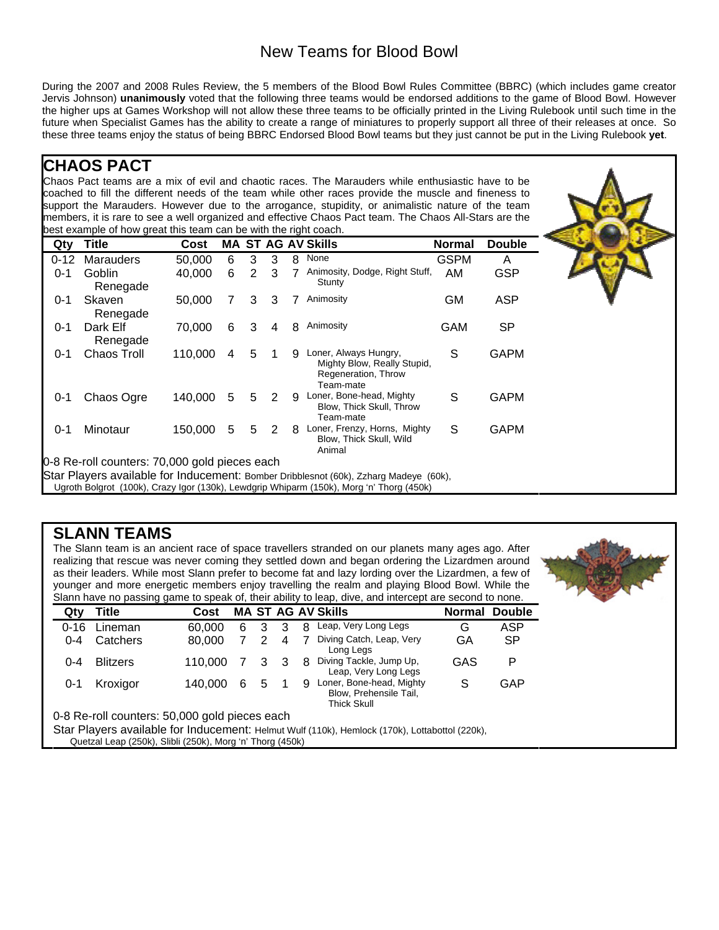## New Teams for Blood Bowl

During the 2007 and 2008 Rules Review, the 5 members of the Blood Bowl Rules Committee (BBRC) (which includes game creator Jervis Johnson) **unanimously** voted that the following three teams would be endorsed additions to the game of Blood Bowl. However the higher ups at Games Workshop will not allow these three teams to be officially printed in the Living Rulebook until such time in the future when Specialist Games has the ability to create a range of miniatures to properly support all three of their releases at once. So these three teams enjoy the status of being BBRC Endorsed Blood Bowl teams but they just cannot be put in the Living Rulebook **yet**.

## **CHAOS PACT**

Chaos Pact teams are a mix of evil and chaotic races. The Marauders while enthusiastic have to be coached to fill the different needs of the team while other races provide the muscle and fineness to support the Marauders. However due to the arrogance, stupidity, or animalistic nature of the team members, it is rare to see a well organized and effective Chaos Pact team. The Chaos All-Stars are the best example of how great this team can be with the right coach.

| Qty      | <b>Title</b>         | Cost    |   |   |   |   | <b>MA ST AG AV Skills</b>                                                                | <b>Normal</b> | <b>Double</b> |
|----------|----------------------|---------|---|---|---|---|------------------------------------------------------------------------------------------|---------------|---------------|
| $0 - 12$ | <b>Marauders</b>     | 50.000  | 6 | 3 | 3 | 8 | None                                                                                     | <b>GSPM</b>   | A             |
| $0 - 1$  | Goblin<br>Renegade   | 40.000  | 6 | 2 | 3 |   | Animosity, Dodge, Right Stuff,<br>Stunty                                                 | AM            | <b>GSP</b>    |
| $0 - 1$  | Skaven<br>Renegade   | 50,000  | 7 | 3 | 3 | 7 | Animosity                                                                                | <b>GM</b>     | <b>ASP</b>    |
| $0 - 1$  | Dark Elf<br>Renegade | 70,000  | 6 | 3 | 4 | 8 | Animosity                                                                                | <b>GAM</b>    | <b>SP</b>     |
| $0 - 1$  | <b>Chaos Troll</b>   | 110,000 | 4 | 5 | 1 | 9 | Loner, Always Hungry,<br>Mighty Blow, Really Stupid,<br>Regeneration, Throw<br>Team-mate | S             | <b>GAPM</b>   |
| 0-1      | Chaos Ogre           | 140,000 | 5 | 5 | 2 | 9 | Loner, Bone-head, Mighty<br>Blow, Thick Skull, Throw<br>Team-mate                        | S             | <b>GAPM</b>   |
| $0 - 1$  | Minotaur             | 150,000 | 5 | 5 | 2 | 8 | Loner, Frenzy, Horns, Mighty<br>Blow, Thick Skull, Wild<br>Animal                        | S             | <b>GAPM</b>   |

Star Players available for Inducement: Bomber Dribblesnot (60k), Zzharg Madeye (60k),

Ugroth Bolgrot (100k), Crazy Igor (130k), Lewdgrip Whiparm (150k), Morg 'n' Thorg (450k)

## **SLANN TEAMS**

The Slann team is an ancient race of space travellers stranded on our planets many ages ago. After realizing that rescue was never coming they settled down and began ordering the Lizardmen around as their leaders. While most Slann prefer to become fat and lazy lording over the Lizardmen, a few of younger and more energetic members enjoy travelling the realm and playing Blood Bowl. While the Slann have no passing game to speak of, their ability to leap, dive, and intercept are second to none.

| Qty      | Title                                                     | Cost    |   |   |   |   | <b>MA ST AG AV Skills</b>                                                                      |     | <b>Normal Double</b> |
|----------|-----------------------------------------------------------|---------|---|---|---|---|------------------------------------------------------------------------------------------------|-----|----------------------|
| $0 - 16$ | Lineman                                                   | 60,000  | 6 | 3 | 3 | 8 | Leap, Very Long Legs                                                                           | G   | <b>ASP</b>           |
| $0 - 4$  | Catchers                                                  | 80,000  |   | 2 | 4 |   | Diving Catch, Leap, Very<br>Long Legs                                                          | GA  | <b>SP</b>            |
| $0 - 4$  | <b>Blitzers</b>                                           | 110.000 |   | 3 | 3 | 8 | Diving Tackle, Jump Up,<br>Leap, Very Long Legs                                                | GAS | P                    |
| $0 - 1$  | Kroxigor                                                  | 140.000 | 6 | 5 |   | 9 | Loner, Bone-head, Mighty<br>Blow, Prehensile Tail,<br><b>Thick Skull</b>                       | S   | GAP                  |
|          | 0-8 Re-roll counters: 50,000 gold pieces each             |         |   |   |   |   |                                                                                                |     |                      |
|          | Quetzal Leap (250k), Slibli (250k), Morg 'n' Thorg (450k) |         |   |   |   |   | Star Players available for Inducement: Helmut Wulf (110k), Hemlock (170k), Lottabottol (220k), |     |                      |